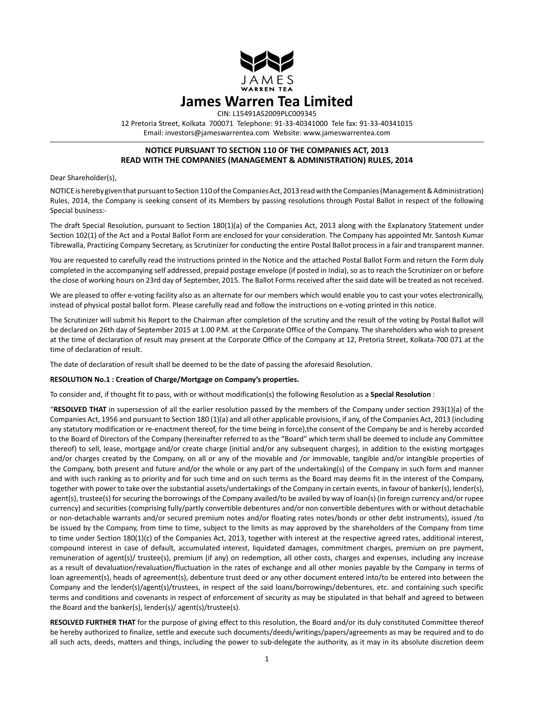

12 Pretoria Street, Kolkata 700071 Telephone: 91-33-40341000 Tele fax: 91-33-40341015 Email: investors@jameswarrentea.com Website: www.jameswarrentea.com

## **NOTICE PURSUANT TO SECTION 110 OF THE COMPANIES ACT, 2013 READ WITH THE COMPANIES (MANAGEMENT & ADMINISTRATION) RULES, 2014**

Dear Shareholder(s),

NOTICE is hereby given that pursuant to Section 110 of the Companies Act, 2013 read with the Companies (Management & Administration) Rules, 2014, the Company is seeking consent of its Members by passing resolutions through Postal Ballot in respect of the following Special business:-

The draft Special Resolution, pursuant to Section 180(1)(a) of the Companies Act, 2013 along with the Explanatory Statement under Section 102(1) of the Act and a Postal Ballot Form are enclosed for your consideration. The Company has appointed Mr. Santosh Kumar Tibrewalla, Practicing Company Secretary, as Scrutinizer for conducting the entire Postal Ballot process in a fair and transparent manner.

You are requested to carefully read the instructions printed in the Notice and the attached Postal Ballot Form and return the Form duly completed in the accompanying self addressed, prepaid postage envelope (if posted in India), so as to reach the Scrutinizer on or before the close of working hours on 23rd day of September, 2015. The Ballot Forms received after the said date will be treated as not received.

We are pleased to offer e-voting facility also as an alternate for our members which would enable you to cast your votes electronically, instead of physical postal ballot form. Please carefully read and follow the instructions on e-voting printed in this notice.

The Scrutinizer will submit his Report to the Chairman after completion of the scrutiny and the result of the voting by Postal Ballot will be declared on 26th day of September 2015 at 1.00 P.M. at the Corporate Office of the Company. The shareholders who wish to present at the time of declaration of result may present at the Corporate Office of the Company at 12, Pretoria Street, Kolkata-700 071 at the time of declaration of result.

The date of declaration of result shall be deemed to be the date of passing the aforesaid Resolution.

### **RESOLUTION No.1 : Creation of Charge/Mortgage on Company's properties.**

To consider and, if thought fit to pass, with or without modification(s) the following Resolution as a **Special Resolution** :

"**RESOLVED THAT** in supersession of all the earlier resolution passed by the members of the Company under section 293(1)(a) of the Companies Act, 1956 and pursuant to Section 180 (1)(a) and all other applicable provisions, if any, of the Companies Act, 2013 (including any statutory modification or re-enactment thereof, for the time being in force),the consent of the Company be and is hereby accorded to the Board of Directors of the Company (hereinafter referred to as the "Board" which term shall be deemed to include any Committee thereof) to sell, lease, mortgage and/or create charge (initial and/or any subsequent charges), in addition to the existing mortgages and/or charges created by the Company, on all or any of the movable and /or immovable, tangible and/or intangible properties of the Company, both present and future and/or the whole or any part of the undertaking(s) of the Company in such form and manner and with such ranking as to priority and for such time and on such terms as the Board may deems fit in the interest of the Company, together with power to take over the substantial assets/undertakings of the Company in certain events, in favour of banker(s), lender(s), agent(s), trustee(s) for securing the borrowings of the Company availed/to be availed by way of loan(s) (in foreign currency and/or rupee currency) and securities (comprising fully/partly convertible debentures and/or non convertible debentures with or without detachable or non-detachable warrants and/or secured premium notes and/or floating rates notes/bonds or other debt instruments), issued /to be issued by the Company, from time to time, subject to the limits as may approved by the shareholders of the Company from time to time under Section 180(1)(c) of the Companies Act, 2013, together with interest at the respective agreed rates, additional interest, compound interest in case of default, accumulated interest, liquidated damages, commitment charges, premium on pre payment, remuneration of agent(s)/ trustee(s), premium (if any) on redemption, all other costs, charges and expenses, including any increase as a result of devaluation/revaluation/fluctuation in the rates of exchange and all other monies payable by the Company in terms of loan agreement(s), heads of agreement(s), debenture trust deed or any other document entered into/to be entered into between the Company and the lender(s)/agent(s)/trustees, in respect of the said loans/borrowings/debentures, etc. and containing such specific terms and conditions and covenants in respect of enforcement of security as may be stipulated in that behalf and agreed to between the Board and the banker(s), lender(s)/ agent(s)/trustee(s).

**RESOLVED FURTHER THAT** for the purpose of giving effect to this resolution, the Board and/or its duly constituted Committee thereof be hereby authorized to finalize, settle and execute such documents/deeds/writings/papers/agreements as may be required and to do all such acts, deeds, matters and things, including the power to sub-delegate the authority, as it may in its absolute discretion deem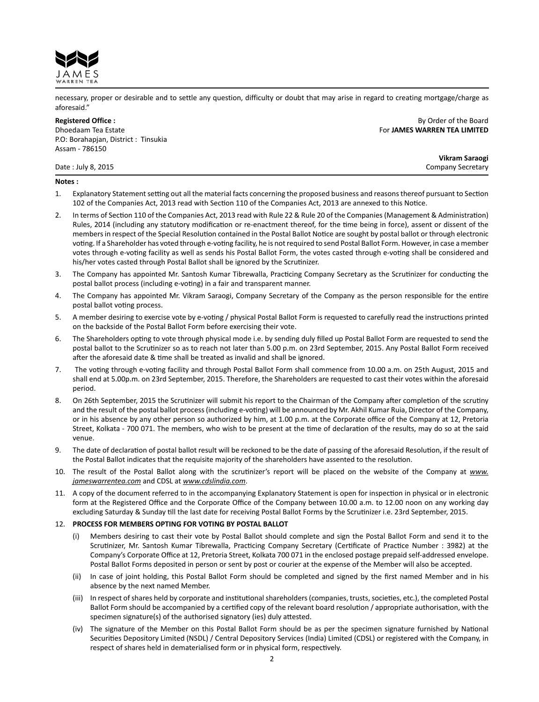

necessary, proper or desirable and to settle any question, difficulty or doubt that may arise in regard to creating mortgage/charge as aforesaid."

Dhoedaam Tea Estate For **JAMES WARREN TEA LIMITED** P.O: Borahapjan, District : Tinsukia Assam - 786150

**Registered Office :** By Order of the Board

**Vikram Saraogi** Date : July 8, 2015 Company Secretary

### **Notes :**

- 1. Explanatory Statement setting out all the material facts concerning the proposed business and reasons thereof pursuant to Section 102 of the Companies Act, 2013 read with Section 110 of the Companies Act, 2013 are annexed to this Notice.
- 2. In terms of Section 110 of the Companies Act, 2013 read with Rule 22 & Rule 20 of the Companies (Management & Administration) Rules, 2014 (including any statutory modification or re-enactment thereof, for the time being in force), assent or dissent of the membersin respect of the Special Resolution contained in the Postal Ballot Notice are sought by postal ballot or through electronic voting. If a Shareholder has voted through e-voting facility, he is notrequired to send Postal Ballot Form. However, in case a member votes through e-voting facility as well as sends his Postal Ballot Form, the votes casted through e-voting shall be considered and his/her votes casted through Postal Ballot shall be ignored by the Scrutinizer.
- 3. The Company has appointed Mr. Santosh Kumar Tibrewalla, Practicing Company Secretary as the Scrutinizer for conducting the postal ballot process (including e-voting) in a fair and transparent manner.
- 4. The Company has appointed Mr. Vikram Saraogi, Company Secretary of the Company as the person responsible for the entire postal ballot voting process.
- 5. A member desiring to exercise vote by e-voting / physical Postal Ballot Form is requested to carefully read the instructions printed on the backside of the Postal Ballot Form before exercising their vote.
- 6. The Shareholders opting to vote through physical mode i.e. by sending duly filled up Postal Ballot Form are requested to send the postal ballot to the Scrutinizer so as to reach not later than 5.00 p.m. on 23rd September, 2015. Any Postal Ballot Form received after the aforesaid date & time shall be treated as invalid and shall be ignored.
- 7. The voting through e-voting facility and through Postal Ballot Form shall commence from 10.00 a.m. on 25th August, 2015 and shall end at 5.00p.m. on 23rd September, 2015. Therefore, the Shareholders are requested to cast their votes within the aforesaid period.
- 8. On 26th September, 2015 the Scrutinizer will submit his report to the Chairman of the Company after completion of the scrutiny and the result of the postal ballot process(including e-voting) will be announced by Mr. Akhil Kumar Ruia, Director of the Company, or in his absence by any other person so authorized by him, at 1.00 p.m. at the Corporate office of the Company at 12, Pretoria Street, Kolkata - 700 071. The members, who wish to be present at the time of declaration of the results, may do so at the said venue.
- 9. The date of declaration of postal ballot result will be reckoned to be the date of passing of the aforesaid Resolution, if the result of the Postal Ballot indicates that the requisite majority of the shareholders have assented to the resolution.
- 10. The result of the Postal Ballot along with the scrutinizer's report will be placed on the website of the Company at *www. jameswarrentea.com* and CDSL at *www.cdslindia.com*.
- 11. A copy of the document referred to in the accompanying Explanatory Statement is open for inspection in physical or in electronic form at the Registered Office and the Corporate Office of the Company between 10.00 a.m. to 12.00 noon on any working day excluding Saturday & Sunday till the last date for receiving Postal Ballot Forms by the Scrutinizer i.e. 23rd September, 2015.

### 12. **PROCESS FOR MEMBERS OPTING FOR VOTING BY POSTAL BALLOT**

- Members desiring to cast their vote by Postal Ballot should complete and sign the Postal Ballot Form and send it to the Scrutinizer, Mr. Santosh Kumar Tibrewalla, Practicing Company Secretary (Certificate of Practice Number : 3982) at the Company's Corporate Office at 12, Pretoria Street, Kolkata 700 071 in the enclosed postage prepaid self-addressed envelope. Postal Ballot Forms deposited in person or sent by post or courier at the expense of the Member will also be accepted.
- (ii) In case of joint holding, this Postal Ballot Form should be completed and signed by the first named Member and in his absence by the next named Member.
- (iii) In respect of shares held by corporate and institutional shareholders (companies, trusts, societies, etc.), the completed Postal Ballot Form should be accompanied by a certified copy of the relevant board resolution / appropriate authorisation, with the specimen signature(s) of the authorised signatory (ies) duly attested.
- (iv) The signature of the Member on this Postal Ballot Form should be as per the specimen signature furnished by National Securities Depository Limited (NSDL) / Central Depository Services (India) Limited (CDSL) or registered with the Company, in respect of shares held in dematerialised form or in physical form, respectively.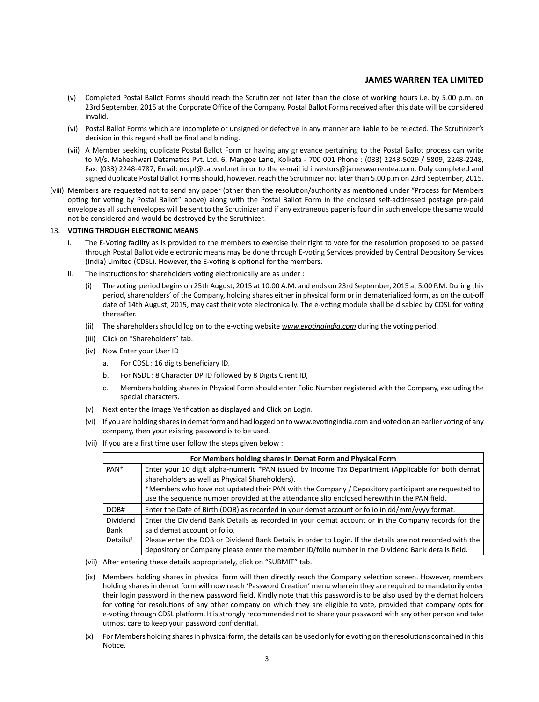# **JAMES WARREN TEA LIMITED**

- (v) Completed Postal Ballot Forms should reach the Scrutinizer not later than the close of working hours i.e. by 5.00 p.m. on 23rd September, 2015 at the Corporate Office of the Company. Postal Ballot Forms received after this date will be considered invalid.
- (vi) Postal Ballot Forms which are incomplete or unsigned or defective in any manner are liable to be rejected. The Scrutinizer's decision in this regard shall be final and binding.
- (vii) A Member seeking duplicate Postal Ballot Form or having any grievance pertaining to the Postal Ballot process can write to M/s. Maheshwari Datamatics Pvt. Ltd. 6, Mangoe Lane, Kolkata - 700 001 Phone : (033) 2243-5029 / 5809, 2248-2248, Fax: (033) 2248-4787, Email: mdpl@cal.vsnl.net.in or to the e-mail id investors@jameswarrentea.com. Duly completed and signed duplicate Postal Ballot Forms should, however, reach the Scrutinizer not later than 5.00 p.m on 23rd September, 2015.
- (viii) Members are requested not to send any paper (other than the resolution/authority as mentioned under "Process for Members opting for voting by Postal Ballot" above) along with the Postal Ballot Form in the enclosed self-addressed postage pre-paid envelope as allsuch envelopes will be sent to the Scrutinizer and if any extraneous paper isfound in such envelope the same would not be considered and would be destroyed by the Scrutinizer.

### 13. **VOTING THROUGH ELECTRONIC MEANS**

- I. The E-Voting facility as is provided to the members to exercise their right to vote for the resolution proposed to be passed through Postal Ballot vide electronic means may be done through E-voting Services provided by Central Depository Services (India) Limited (CDSL). However, the E-voting is optional for the members.
- II. The instructions for shareholders voting electronically are as under :
	- (i) The voting period begins on 25th August, 2015 at 10.00 A.M. and ends on 23rd September, 2015 at 5.00 P.M. During this period, shareholders' of the Company, holding shares either in physical form or in dematerialized form, as on the cut-off date of 14th August, 2015, may cast their vote electronically. The e-voting module shall be disabled by CDSL for voting thereafter.
	- (ii) The shareholders should log on to the e-voting website *www.evotingindia.com* during the voting period.
	- (iii) Click on "Shareholders" tab.
	- (iv) Now Enter your User ID
		- a. For CDSL : 16 digits beneficiary ID,
		- b. For NSDL : 8 Character DP ID followed by 8 Digits Client ID,
		- c. Members holding shares in Physical Form should enter Folio Number registered with the Company, excluding the special characters.
	- (v) Next enter the Image Verification as displayed and Click on Login.
	- (vi) If you are holding shares in demat form and had logged on to www.evotingindia.com and voted on an earlier voting of any company, then your existing password is to be used.
	- (vii) If you are a first time user follow the steps given below :

| For Members holding shares in Demat Form and Physical Form |                                                                                                           |
|------------------------------------------------------------|-----------------------------------------------------------------------------------------------------------|
| PAN <sup>*</sup>                                           | Enter your 10 digit alpha-numeric *PAN issued by Income Tax Department (Applicable for both demat         |
|                                                            | shareholders as well as Physical Shareholders).                                                           |
|                                                            | *Members who have not updated their PAN with the Company / Depository participant are requested to        |
|                                                            | use the sequence number provided at the attendance slip enclosed herewith in the PAN field.               |
| DOB#                                                       | Enter the Date of Birth (DOB) as recorded in your demat account or folio in dd/mm/yyyy format.            |
| Dividend                                                   | Enter the Dividend Bank Details as recorded in your demat account or in the Company records for the       |
| Bank                                                       | said demat account or folio.                                                                              |
| Details#                                                   | Please enter the DOB or Dividend Bank Details in order to Login. If the details are not recorded with the |
|                                                            | depository or Company please enter the member ID/folio number in the Dividend Bank details field.         |

- (vii) After entering these details appropriately, click on "SUBMIT" tab.
- (ix) Members holding shares in physical form will then directly reach the Company selection screen. However, members holding shares in demat form will now reach 'Password Creation' menu wherein they are required to mandatorily enter their login password in the new password field. Kindly note that this password is to be also used by the demat holders for voting for resolutions of any other company on which they are eligible to vote, provided that company opts for e-voting through CDSL platform. It is strongly recommended not to share your password with any other person and take utmost care to keep your password confidential.
- (x) For Members holding shares in physical form, the details can be used only for e voting on the resolutions contained in this Notice.